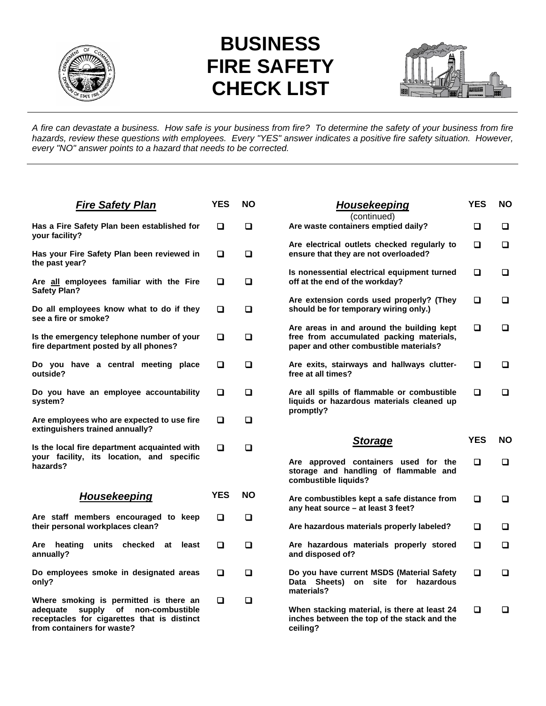

## **BUSINESS FIRE SAFETY CHECK LIST**



*A fire can devastate a business. How safe is your business from fire? To determine the safety of your business from fire hazards, review these questions with employees. Every "YES" answer indicates a positive fire safety situation. However, every "NO" answer points to a hazard that needs to be corrected.* 

| <b>Fire Safety Plan</b>                                                                                                                                      | <b>YES</b> | ΝO        | Housekeeping<br>(continued)                                                                                                     | YES             | ΝO      |
|--------------------------------------------------------------------------------------------------------------------------------------------------------------|------------|-----------|---------------------------------------------------------------------------------------------------------------------------------|-----------------|---------|
| Has a Fire Safety Plan been established for<br>your facility?                                                                                                | ◻          | □         | Are waste containers emptied daily?                                                                                             | □               | ◘       |
| Has your Fire Safety Plan been reviewed in<br>the past year?                                                                                                 | □          | □         | Are electrical outlets checked regularly to<br>ensure that they are not overloaded?                                             | □               | $\Box$  |
| Are all employees familiar with the Fire<br><b>Safety Plan?</b>                                                                                              | □          | □         | Is nonessential electrical equipment turned<br>off at the end of the workday?                                                   | $\Box$          | □       |
| Do all employees know what to do if they<br>see a fire or smoke?                                                                                             | □          | □         | Are extension cords used properly? (They<br>should be for temporary wiring only.)                                               | □               | ◻       |
| Is the emergency telephone number of your<br>fire department posted by all phones?                                                                           | О          | $\Box$    | Are areas in and around the building kept<br>free from accumulated packing materials,<br>paper and other combustible materials? | $\Box$          | □       |
| Do you have a central meeting place<br>outside?                                                                                                              | o          | □         | Are exits, stairways and hallways clutter-<br>free at all times?                                                                | □               | □       |
| Do you have an employee accountability<br>system?                                                                                                            | o          | □         | Are all spills of flammable or combustible<br>liquids or hazardous materials cleaned up<br>promptly?                            | □               | □       |
| Are employees who are expected to use fire<br>extinguishers trained annually?                                                                                | ◻          | $\Box$    |                                                                                                                                 |                 |         |
| Is the local fire department acquainted with<br>your facility, its location, and specific<br>hazards?                                                        | ◻          | □         | <b>Storage</b><br>Are approved containers used for the<br>storage and handling of flammable and<br>combustible liquids?         | <b>YES</b><br>□ | ΝO<br>□ |
| Housekeeping                                                                                                                                                 | <b>YES</b> | <b>NO</b> | Are combustibles kept a safe distance from<br>any heat source – at least 3 feet?                                                | □               | □       |
| Are staff members encouraged to keep<br>their personal workplaces clean?                                                                                     | Q          | Q         | Are hazardous materials properly labeled?                                                                                       | □               | □       |
| Are heating<br>units<br>checked<br>least<br>at<br>annually?                                                                                                  | □          | □         | Are hazardous materials properly stored<br>and disposed of?                                                                     | $\Box$          | $\Box$  |
| Do employees smoke in designated areas<br>only?                                                                                                              | □          | $\Box$    | Do you have current MSDS (Material Safety<br>Data Sheets) on site for hazardous<br>materials?                                   | $\Box$          | $\Box$  |
| Where smoking is permitted is there an<br>adequate<br>supply of non-combustible<br>receptacles for cigarettes that is distinct<br>from containers for waste? | О          | О         | When stacking material, is there at least 24<br>inches between the top of the stack and the<br>ceiling?                         | □               | □       |